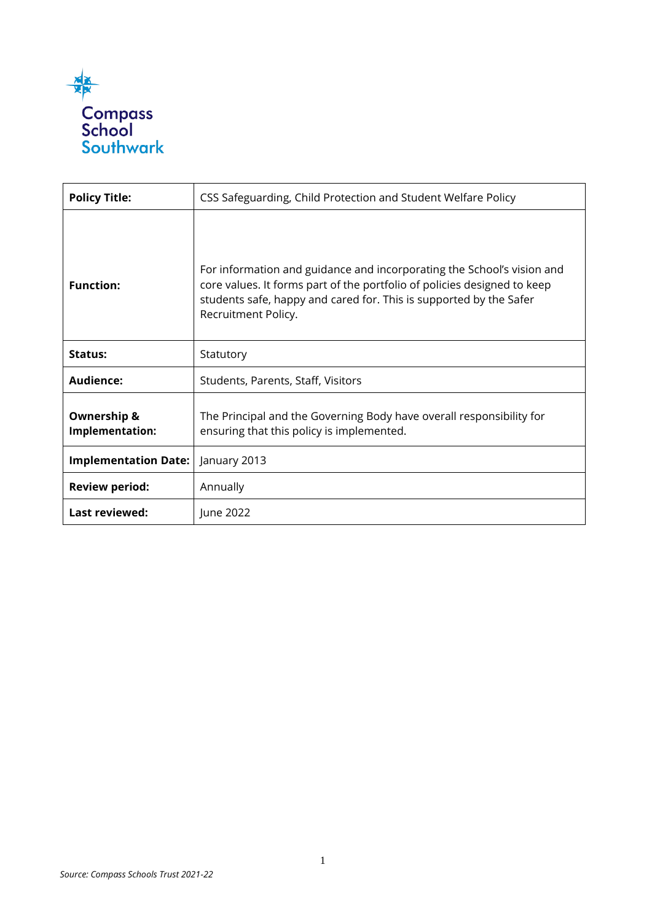

| <b>Policy Title:</b>                      | CSS Safeguarding, Child Protection and Student Welfare Policy                                                                                                                                                                                   |
|-------------------------------------------|-------------------------------------------------------------------------------------------------------------------------------------------------------------------------------------------------------------------------------------------------|
| <b>Function:</b>                          | For information and guidance and incorporating the School's vision and<br>core values. It forms part of the portfolio of policies designed to keep<br>students safe, happy and cared for. This is supported by the Safer<br>Recruitment Policy. |
| Status:                                   | Statutory                                                                                                                                                                                                                                       |
| <b>Audience:</b>                          | Students, Parents, Staff, Visitors                                                                                                                                                                                                              |
| <b>Ownership &amp;</b><br>Implementation: | The Principal and the Governing Body have overall responsibility for<br>ensuring that this policy is implemented.                                                                                                                               |
| <b>Implementation Date:</b>               | January 2013                                                                                                                                                                                                                                    |
| <b>Review period:</b>                     | Annually                                                                                                                                                                                                                                        |
| <b>Last reviewed:</b>                     | June 2022                                                                                                                                                                                                                                       |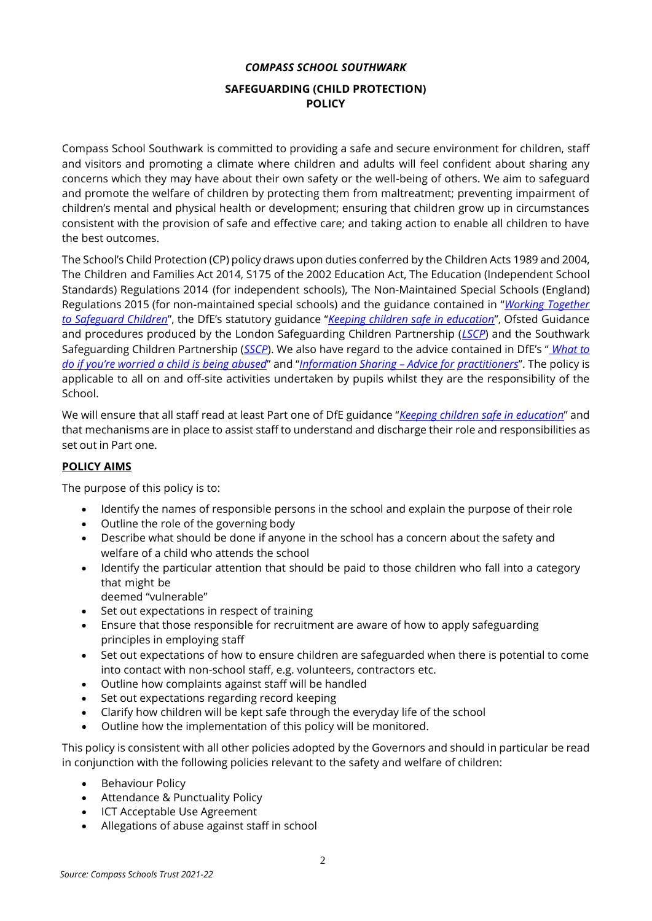#### *COMPASS SCHOOL SOUTHWARK*

## **SAFEGUARDING (CHILD PROTECTION) POLICY**

Compass School Southwark is committed to providing a safe and secure environment for children, staff and visitors and promoting a climate where children and adults will feel confident about sharing any concerns which they may have about their own safety or the well-being of others. We aim to safeguard and promote the welfare of children by protecting them from maltreatment; preventing impairment of children's mental and physical health or development; ensuring that children grow up in circumstances consistent with the provision of safe and effective care; and taking action to enable all children to have the best outcomes.

The School's Child Protection (CP) policy draws upon duties conferred by the Children Acts 1989 and 2004, The Children and Families Act 2014, S175 of the 2002 Education Act, The Education (Independent School Standards) Regulations 2014 (for independent schools), The Non-Maintained Special Schools (England) Regulations 2015 (for non-maintained special schools) and the guidance contained in "*[Working Together](https://www.gov.uk/government/publications/working-together-to-safeguard-children--2)  [to Safeguard Children](https://www.gov.uk/government/publications/working-together-to-safeguard-children--2)*", the DfE's statutory guidance "*[Keeping children safe in education](https://www.gov.uk/government/publications/keeping-children-safe-in-education--2)*", Ofsted Guidance and procedures produced by the London Safeguarding Children Partnership (*[LSCP](http://www.londonscb.gov.uk/)*) and the Southwark Safeguarding Children Partnership (*[SSCP](http://safeguarding.southwark.gov.uk/southwark-safeguarding-board/sscp/)*). We also have regard to the advice contained in DfE's " *[What to](https://www.gov.uk/government/publications/what-to-do-if-youre-worried-a-child-is-being-abused--2)  [do if you're worried a child is being abused](https://www.gov.uk/government/publications/what-to-do-if-youre-worried-a-child-is-being-abused--2)*" and "*[Information Sharing](https://www.gov.uk/government/publications/safeguarding-practitioners-information-sharing-advice) – Advice for [practitioners](https://www.gov.uk/government/publications/safeguarding-practitioners-information-sharing-advice)*". The policy is applicable to all on and off-site activities undertaken by pupils whilst they are the responsibility of the School.

We will ensure that all staff read at least Part one of DfE guidance "*[Keeping children safe in education](https://www.gov.uk/government/publications/keeping-children-safe-in-education--2)*" and that mechanisms are in place to assist staff to understand and discharge their role and responsibilities as set out in Part one.

## **POLICY AIMS**

The purpose of this policy is to:

- Identify the names of responsible persons in the school and explain the purpose of their role
- Outline the role of the governing body
- Describe what should be done if anyone in the school has a concern about the safety and welfare of a child who attends the school
- Identify the particular attention that should be paid to those children who fall into a category that might be
	- deemed "vulnerable"
- Set out expectations in respect of training
- Ensure that those responsible for recruitment are aware of how to apply safeguarding principles in employing staff
- Set out expectations of how to ensure children are safeguarded when there is potential to come into contact with non-school staff, e.g. volunteers, contractors etc.
- Outline how complaints against staff will be handled
- Set out expectations regarding record keeping
- Clarify how children will be kept safe through the everyday life of the school
- Outline how the implementation of this policy will be monitored.

This policy is consistent with all other policies adopted by the Governors and should in particular be read in conjunction with the following policies relevant to the safety and welfare of children:

- Behaviour Policy
- Attendance & Punctuality Policy
- ICT Acceptable Use Agreement
- Allegations of abuse against staff in school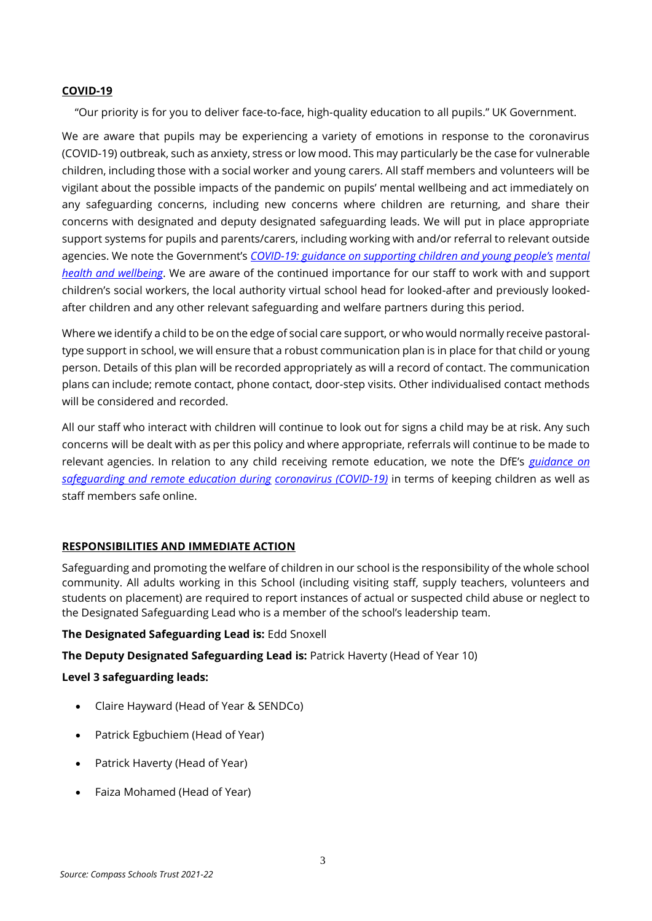#### **COVID-19**

"Our priority is for you to deliver face-to-face, high-quality education to all pupils." UK Government.

We are aware that pupils may be experiencing a variety of emotions in response to the coronavirus (COVID-19) outbreak, such as anxiety, stress or low mood. This may particularly be the case for vulnerable children, including those with a social worker and young carers. All staff members and volunteers will be vigilant about the possible impacts of the pandemic on pupils' mental wellbeing and act immediately on any safeguarding concerns, including new concerns where children are returning, and share their concerns with designated and deputy designated safeguarding leads. We will put in place appropriate support systems for pupils and parents/carers, including working with and/or referral to relevant outside agencies. We note the Government's *[COVID-19: guidance on supporting children and young p](https://www.gov.uk/government/publications/covid-19-guidance-on-supporting-children-and-young-peoples-mental-health-and-wellbeing)eople's [mental](https://www.gov.uk/government/publications/covid-19-guidance-on-supporting-children-and-young-peoples-mental-health-and-wellbeing)  [health and wellbeing](https://www.gov.uk/government/publications/covid-19-guidance-on-supporting-children-and-young-peoples-mental-health-and-wellbeing)*. We are aware of the continued importance for our staff to work with and support children's social workers, the local authority virtual school head for looked-after and previously lookedafter children and any other relevant safeguarding and welfare partners during this period.

Where we identify a child to be on the edge of social care support, or who would normally receive pastoraltype support in school, we will ensure that a robust communication plan is in place for that child or young person. Details of this plan will be recorded appropriately as will a record of contact. The communication plans can include; remote contact, phone contact, door-step visits. Other individualised contact methods will be considered and recorded.

All our staff who interact with children will continue to look out for signs a child may be at risk. Any such concerns will be dealt with as per this policy and where appropriate, referrals will continue to be made to relevant agencies. In relation to any child receiving remote education, we note the DfE's *[guidance on](https://www.gov.uk/guidance/safeguarding-and-remote-education-during-coronavirus-covid-19)  [safeguarding and remote education during](https://www.gov.uk/guidance/safeguarding-and-remote-education-during-coronavirus-covid-19) [coronavirus \(COVID-19\)](https://www.gov.uk/guidance/safeguarding-and-remote-education-during-coronavirus-covid-19)* in terms of keeping children as well as staff members safe online.

#### **RESPONSIBILITIES AND IMMEDIATE ACTION**

Safeguarding and promoting the welfare of children in our school is the responsibility of the whole school community. All adults working in this School (including visiting staff, supply teachers, volunteers and students on placement) are required to report instances of actual or suspected child abuse or neglect to the Designated Safeguarding Lead who is a member of the school's leadership team.

#### **The Designated Safeguarding Lead is:** Edd Snoxell

**The Deputy Designated Safeguarding Lead is:** Patrick Haverty (Head of Year 10)

#### **Level 3 safeguarding leads:**

- Claire Hayward (Head of Year & SENDCo)
- Patrick Egbuchiem (Head of Year)
- Patrick Haverty (Head of Year)
- Faiza Mohamed (Head of Year)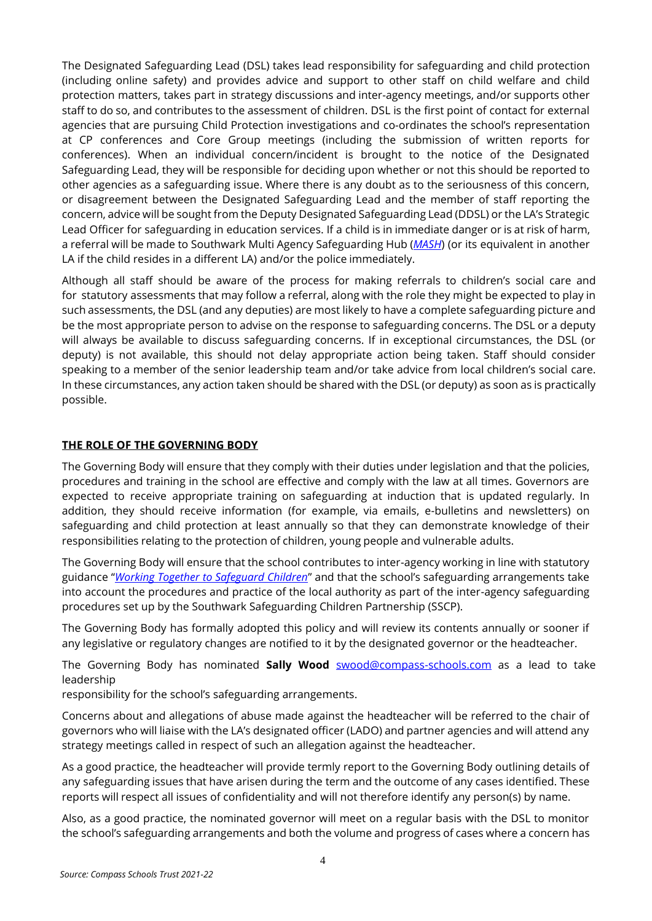The Designated Safeguarding Lead (DSL) takes lead responsibility for safeguarding and child protection (including online safety) and provides advice and support to other staff on child welfare and child protection matters, takes part in strategy discussions and inter-agency meetings, and/or supports other staff to do so, and contributes to the assessment of children. DSL is the first point of contact for external agencies that are pursuing Child Protection investigations and co-ordinates the school's representation at CP conferences and Core Group meetings (including the submission of written reports for conferences). When an individual concern/incident is brought to the notice of the Designated Safeguarding Lead, they will be responsible for deciding upon whether or not this should be reported to other agencies as a safeguarding issue. Where there is any doubt as to the seriousness of this concern, or disagreement between the Designated Safeguarding Lead and the member of staff reporting the concern, advice will be sought from the Deputy Designated Safeguarding Lead (DDSL) or the LA's Strategic Lead Officer for safeguarding in education services. If a child is in immediate danger or is at risk of harm, a referral will be made to Southwark Multi Agency Safeguarding Hub (*[MASH](https://www.southwark.gov.uk/childcare-and-parenting/children-s-social-care/child-protection/multi-agency-safeguarding-hub-mash)*) (or its equivalent in another LA if the child resides in a different LA) and/or the police immediately.

Although all staff should be aware of the process for making referrals to children's social care and for statutory assessments that may follow a referral, along with the role they might be expected to play in such assessments, the DSL (and any deputies) are most likely to have a complete safeguarding picture and be the most appropriate person to advise on the response to safeguarding concerns. The DSL or a deputy will always be available to discuss safeguarding concerns. If in exceptional circumstances, the DSL (or deputy) is not available, this should not delay appropriate action being taken. Staff should consider speaking to a member of the senior leadership team and/or take advice from local children's social care. In these circumstances, any action taken should be shared with the DSL (or deputy) as soon as is practically possible.

## **THE ROLE OF THE GOVERNING BODY**

The Governing Body will ensure that they comply with their duties under legislation and that the policies, procedures and training in the school are effective and comply with the law at all times. Governors are expected to receive appropriate training on safeguarding at induction that is updated regularly. In addition, they should receive information (for example, via emails, e-bulletins and newsletters) on safeguarding and child protection at least annually so that they can demonstrate knowledge of their responsibilities relating to the protection of children, young people and vulnerable adults.

The Governing Body will ensure that the school contributes to inter-agency working in line with statutory guidance "*[Working Together to Safeguard Children](https://www.gov.uk/government/publications/working-together-to-safeguard-children--2)*" and that the school's safeguarding arrangements take into account the procedures and practice of the local authority as part of the inter-agency safeguarding procedures set up by the Southwark Safeguarding Children Partnership (SSCP).

The Governing Body has formally adopted this policy and will review its contents annually or sooner if any legislative or regulatory changes are notified to it by the designated governor or the headteacher.

The Governing Body has nominated **Sally Wood** [swood@compass-schools.com](mailto:swood@compass-schools.com) as a lead to take leadership

responsibility for the school's safeguarding arrangements.

Concerns about and allegations of abuse made against the headteacher will be referred to the chair of governors who will liaise with the LA's designated officer (LADO) and partner agencies and will attend any strategy meetings called in respect of such an allegation against the headteacher.

As a good practice, the headteacher will provide termly report to the Governing Body outlining details of any safeguarding issues that have arisen during the term and the outcome of any cases identified. These reports will respect all issues of confidentiality and will not therefore identify any person(s) by name.

Also, as a good practice, the nominated governor will meet on a regular basis with the DSL to monitor the school's safeguarding arrangements and both the volume and progress of cases where a concern has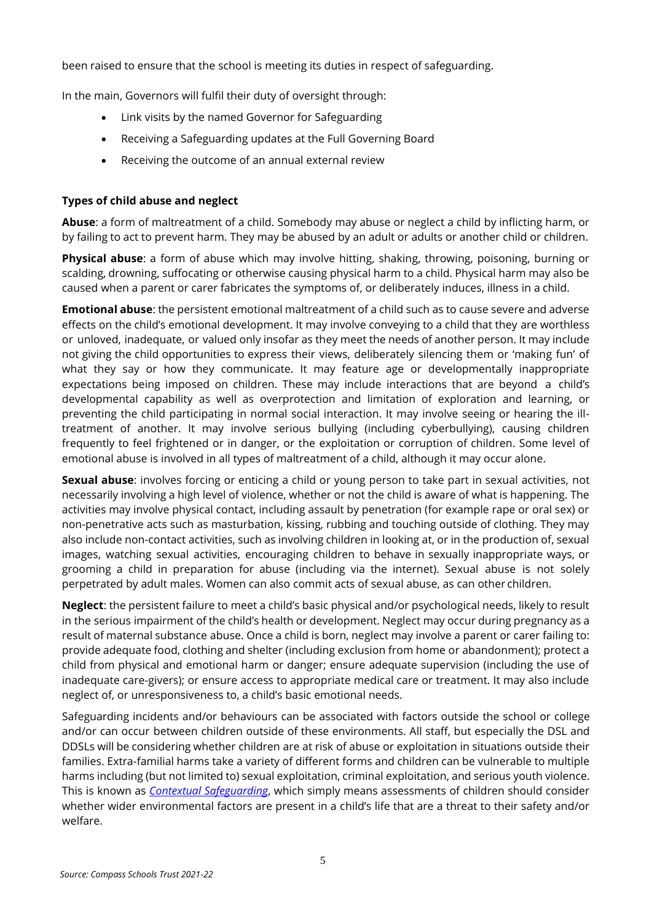been raised to ensure that the school is meeting its duties in respect of safeguarding.

In the main, Governors will fulfil their duty of oversight through:

- Link visits by the named Governor for Safeguarding
- Receiving a Safeguarding updates at the Full Governing Board
- Receiving the outcome of an annual external review

## **Types of child abuse and neglect**

**Abuse**: a form of maltreatment of a child. Somebody may abuse or neglect a child by inflicting harm, or by failing to act to prevent harm. They may be abused by an adult or adults or another child or children.

**Physical abuse**: a form of abuse which may involve hitting, shaking, throwing, poisoning, burning or scalding, drowning, suffocating or otherwise causing physical harm to a child. Physical harm may also be caused when a parent or carer fabricates the symptoms of, or deliberately induces, illness in a child.

**Emotional abuse**: the persistent emotional maltreatment of a child such as to cause severe and adverse effects on the child's emotional development. It may involve conveying to a child that they are worthless or unloved, inadequate, or valued only insofar as they meet the needs of another person. It may include not giving the child opportunities to express their views, deliberately silencing them or 'making fun' of what they say or how they communicate. It may feature age or developmentally inappropriate expectations being imposed on children. These may include interactions that are beyond a child's developmental capability as well as overprotection and limitation of exploration and learning, or preventing the child participating in normal social interaction. It may involve seeing or hearing the illtreatment of another. It may involve serious bullying (including cyberbullying), causing children frequently to feel frightened or in danger, or the exploitation or corruption of children. Some level of emotional abuse is involved in all types of maltreatment of a child, although it may occur alone.

**Sexual abuse**: involves forcing or enticing a child or young person to take part in sexual activities, not necessarily involving a high level of violence, whether or not the child is aware of what is happening. The activities may involve physical contact, including assault by penetration (for example rape or oral sex) or non-penetrative acts such as masturbation, kissing, rubbing and touching outside of clothing. They may also include non-contact activities, such as involving children in looking at, or in the production of, sexual images, watching sexual activities, encouraging children to behave in sexually inappropriate ways, or grooming a child in preparation for abuse (including via the internet). Sexual abuse is not solely perpetrated by adult males. Women can also commit acts of sexual abuse, as can other children.

**Neglect**: the persistent failure to meet a child's basic physical and/or psychological needs, likely to result in the serious impairment of the child's health or development. Neglect may occur during pregnancy as a result of maternal substance abuse. Once a child is born, neglect may involve a parent or carer failing to: provide adequate food, clothing and shelter (including exclusion from home or abandonment); protect a child from physical and emotional harm or danger; ensure adequate supervision (including the use of inadequate care-givers); or ensure access to appropriate medical care or treatment. It may also include neglect of, or unresponsiveness to, a child's basic emotional needs.

Safeguarding incidents and/or behaviours can be associated with factors outside the school or college and/or can occur between children outside of these environments. All staff, but especially the DSL and DDSLs will be considering whether children are at risk of abuse or exploitation in situations outside their families. Extra-familial harms take a variety of different forms and children can be vulnerable to multiple harms including (but not limited to) sexual exploitation, criminal exploitation, and serious youth violence. This is known as *[Contextual Safeguarding](https://contextualsafeguarding.org.uk/)*, which simply means assessments of children should consider whether wider environmental factors are present in a child's life that are a threat to their safety and/or welfare.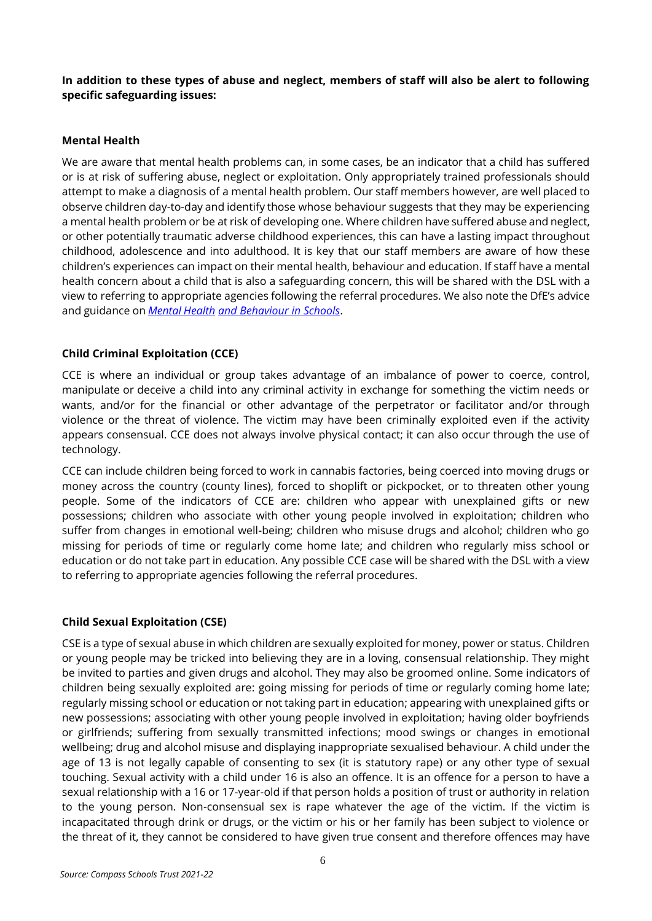**In addition to these types of abuse and neglect, members of staff will also be alert to following specific safeguarding issues:**

#### **Mental Health**

We are aware that mental health problems can, in some cases, be an indicator that a child has suffered or is at risk of suffering abuse, neglect or exploitation. Only appropriately trained professionals should attempt to make a diagnosis of a mental health problem. Our staff members however, are well placed to observe children day-to-day and identify those whose behaviour suggests that they may be experiencing a mental health problem or be at risk of developing one. Where children have suffered abuse and neglect, or other potentially traumatic adverse childhood experiences, this can have a lasting impact throughout childhood, adolescence and into adulthood. It is key that our staff members are aware of how these children's experiences can impact on their mental health, behaviour and education. If staff have a mental health concern about a child that is also a safeguarding concern, this will be shared with the DSL with a view to referring to appropriate agencies following the referral procedures. We also note the DfE's advice and guidance on *[Mental](https://www.gov.uk/government/publications/mental-health-and-behaviour-in-schools--2) Health and Behaviour in Schools*.

## **Child Criminal Exploitation (CCE)**

CCE is where an individual or group takes advantage of an imbalance of power to coerce, control, manipulate or deceive a child into any criminal activity in exchange for something the victim needs or wants, and/or for the financial or other advantage of the perpetrator or facilitator and/or through violence or the threat of violence. The victim may have been criminally exploited even if the activity appears consensual. CCE does not always involve physical contact; it can also occur through the use of technology.

CCE can include children being forced to work in cannabis factories, being coerced into moving drugs or money across the country (county lines), forced to shoplift or pickpocket, or to threaten other young people. Some of the indicators of CCE are: children who appear with unexplained gifts or new possessions; children who associate with other young people involved in exploitation; children who suffer from changes in emotional well-being; children who misuse drugs and alcohol; children who go missing for periods of time or regularly come home late; and children who regularly miss school or education or do not take part in education. Any possible CCE case will be shared with the DSL with a view to referring to appropriate agencies following the referral procedures.

## **Child Sexual Exploitation (CSE)**

CSE is a type of sexual abuse in which children are sexually exploited for money, power or status. Children or young people may be tricked into believing they are in a loving, consensual relationship. They might be invited to parties and given drugs and alcohol. They may also be groomed online. Some indicators of children being sexually exploited are: going missing for periods of time or regularly coming home late; regularly missing school or education or not taking part in education; appearing with unexplained gifts or new possessions; associating with other young people involved in exploitation; having older boyfriends or girlfriends; suffering from sexually transmitted infections; mood swings or changes in emotional wellbeing; drug and alcohol misuse and displaying inappropriate sexualised behaviour. A child under the age of 13 is not legally capable of consenting to sex (it is statutory rape) or any other type of sexual touching. Sexual activity with a child under 16 is also an offence. It is an offence for a person to have a sexual relationship with a 16 or 17-year-old if that person holds a position of trust or authority in relation to the young person. Non-consensual sex is rape whatever the age of the victim. If the victim is incapacitated through drink or drugs, or the victim or his or her family has been subject to violence or the threat of it, they cannot be considered to have given true consent and therefore offences may have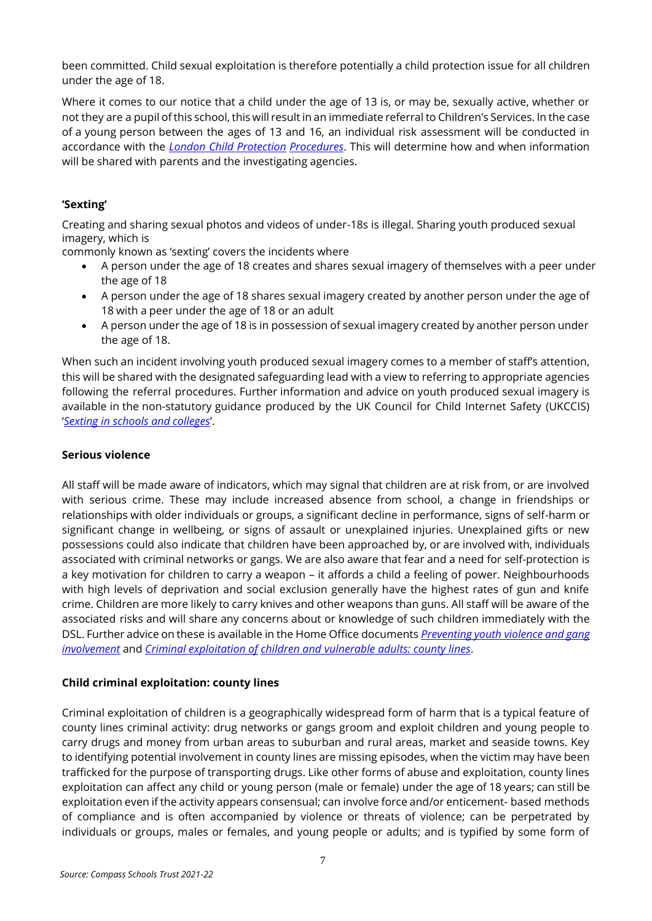been committed. Child sexual exploitation is therefore potentially a child protection issue for all children under the age of 18.

Where it comes to our notice that a child under the age of 13 is, or may be, sexually active, whether or not they are a pupil of this school, this will result in an immediate referral to Children's Services. In the case of a young person between the ages of 13 and 16, an individual risk assessment will be conducted in accordance with the *[London Child Protection](http://www.londoncp.co.uk/index.html) [Procedures](http://www.londoncp.co.uk/index.html)*. This will determine how and when information will be shared with parents and the investigating agencies.

## **'Sexting'**

Creating and sharing sexual photos and videos of under-18s is illegal. Sharing youth produced sexual imagery, which is

commonly known as 'sexting' covers the incidents where

- A person under the age of 18 creates and shares sexual imagery of themselves with a peer under the age of 18
- A person under the age of 18 shares sexual imagery created by another person under the age of 18 with a peer under the age of 18 or an adult
- A person under the age of 18 is in possession of sexual imagery created by another person under the age of 18.

When such an incident involving youth produced sexual imagery comes to a member of staff's attention, this will be shared with the designated safeguarding lead with a view to referring to appropriate agencies following the referral procedures. Further information and advice on youth produced sexual imagery is available in the non-statutory guidance produced by the UK Council for Child Internet Safety (UKCCIS) '*[Sexting in schools and](https://www.gov.uk/government/uploads/system/uploads/attachment_data/file/609874/6_2939_SP_NCA_Sexting_In_Schools_FINAL_Update_Jan17.pdf) colleges*'.

## **Serious violence**

All staff will be made aware of indicators, which may signal that children are at risk from, or are involved with serious crime. These may include increased absence from school, a change in friendships or relationships with older individuals or groups, a significant decline in performance, signs of self-harm or significant change in wellbeing, or signs of assault or unexplained injuries. Unexplained gifts or new possessions could also indicate that children have been approached by, or are involved with, individuals associated with criminal networks or gangs. We are also aware that fear and a need for self-protection is a key motivation for children to carry a weapon – it affords a child a feeling of power. Neighbourhoods with high levels of deprivation and social exclusion generally have the highest rates of gun and knife crime. Children are more likely to carry knives and other weapons than guns. All staff will be aware of the associated risks and will share any concerns about or knowledge of such children immediately with the DSL. Further advice on these is available in the Home Office documents *[Preventing](https://www.gov.uk/government/publications/advice-to-schools-and-colleges-on-gangs-and-youth-violence) youth violence and gang [involvement](https://www.gov.uk/government/publications/advice-to-schools-and-colleges-on-gangs-and-youth-violence)* and *Criminal [exploitation](https://www.gov.uk/government/publications/criminal-exploitation-of-children-and-vulnerable-adults-county-lines) of [children and vulnerable adults: county](https://www.gov.uk/government/publications/criminal-exploitation-of-children-and-vulnerable-adults-county-lines) lines*.

## **Child criminal exploitation: county lines**

Criminal exploitation of children is a geographically widespread form of harm that is a typical feature of county lines criminal activity: drug networks or gangs groom and exploit children and young people to carry drugs and money from urban areas to suburban and rural areas, market and seaside towns. Key to identifying potential involvement in county lines are missing episodes, when the victim may have been trafficked for the purpose of transporting drugs. Like other forms of abuse and exploitation, county lines exploitation can affect any child or young person (male or female) under the age of 18 years; can still be exploitation even if the activity appears consensual; can involve force and/or enticement- based methods of compliance and is often accompanied by violence or threats of violence; can be perpetrated by individuals or groups, males or females, and young people or adults; and is typified by some form of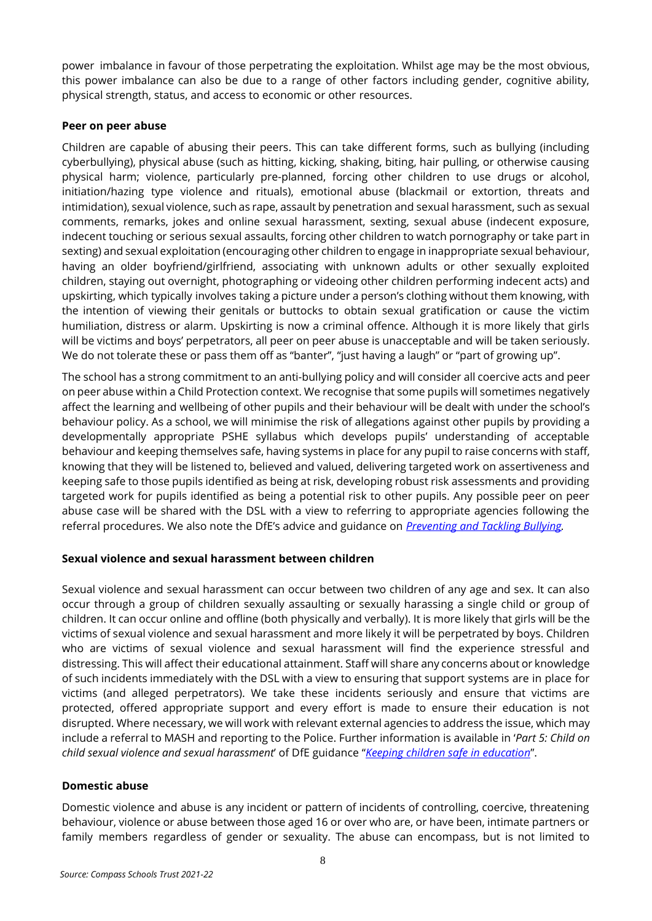power imbalance in favour of those perpetrating the exploitation. Whilst age may be the most obvious, this power imbalance can also be due to a range of other factors including gender, cognitive ability, physical strength, status, and access to economic or other resources.

## **Peer on peer abuse**

Children are capable of abusing their peers. This can take different forms, such as bullying (including cyberbullying), physical abuse (such as hitting, kicking, shaking, biting, hair pulling, or otherwise causing physical harm; violence, particularly pre-planned, forcing other children to use drugs or alcohol, initiation/hazing type violence and rituals), emotional abuse (blackmail or extortion, threats and intimidation), sexual violence, such as rape, assault by penetration and sexual harassment, such as sexual comments, remarks, jokes and online sexual harassment, sexting, sexual abuse (indecent exposure, indecent touching or serious sexual assaults, forcing other children to watch pornography or take part in sexting) and sexual exploitation (encouraging other children to engage in inappropriate sexual behaviour, having an older boyfriend/girlfriend, associating with unknown adults or other sexually exploited children, staying out overnight, photographing or videoing other children performing indecent acts) and upskirting, which typically involves taking a picture under a person's clothing without them knowing, with the intention of viewing their genitals or buttocks to obtain sexual gratification or cause the victim humiliation, distress or alarm. Upskirting is now a criminal offence. Although it is more likely that girls will be victims and boys' perpetrators, all peer on peer abuse is unacceptable and will be taken seriously. We do not tolerate these or pass them off as "banter", "just having a laugh" or "part of growing up".

The school has a strong commitment to an anti-bullying policy and will consider all coercive acts and peer on peer abuse within a Child Protection context. We recognise that some pupils will sometimes negatively affect the learning and wellbeing of other pupils and their behaviour will be dealt with under the school's behaviour policy. As a school, we will minimise the risk of allegations against other pupils by providing a developmentally appropriate PSHE syllabus which develops pupils' understanding of acceptable behaviour and keeping themselves safe, having systems in place for any pupil to raise concerns with staff, knowing that they will be listened to, believed and valued, delivering targeted work on assertiveness and keeping safe to those pupils identified as being at risk, developing robust risk assessments and providing targeted work for pupils identified as being a potential risk to other pupils. Any possible peer on peer abuse case will be shared with the DSL with a view to referring to appropriate agencies following the referral procedures. We also note the DfE's advice and guidance on *[Preventing and Tackling](https://assets.publishing.service.gov.uk/government/uploads/system/uploads/attachment_data/file/623895/Preventing_and_tackling_bullying_advice.pdf) Bullying.*

# **Sexual violence and sexual harassment between children**

Sexual violence and sexual harassment can occur between two children of any age and sex. It can also occur through a group of children sexually assaulting or sexually harassing a single child or group of children. It can occur online and offline (both physically and verbally). It is more likely that girls will be the victims of sexual violence and sexual harassment and more likely it will be perpetrated by boys. Children who are victims of sexual violence and sexual harassment will find the experience stressful and distressing. This will affect their educational attainment. Staff will share any concerns about or knowledge of such incidents immediately with the DSL with a view to ensuring that support systems are in place for victims (and alleged perpetrators). We take these incidents seriously and ensure that victims are protected, offered appropriate support and every effort is made to ensure their education is not disrupted. Where necessary, we will work with relevant external agencies to address the issue, which may include a referral to MASH and reporting to the Police. Further information is available in '*Part 5: Child on child sexual violence and sexual harassment*' of DfE guidance "*[Keeping children safe in](https://www.gov.uk/government/publications/keeping-children-safe-in-education--2) education*".

## **Domestic abuse**

Domestic violence and abuse is any incident or pattern of incidents of controlling, coercive, threatening behaviour, violence or abuse between those aged 16 or over who are, or have been, intimate partners or family members regardless of gender or sexuality. The abuse can encompass, but is not limited to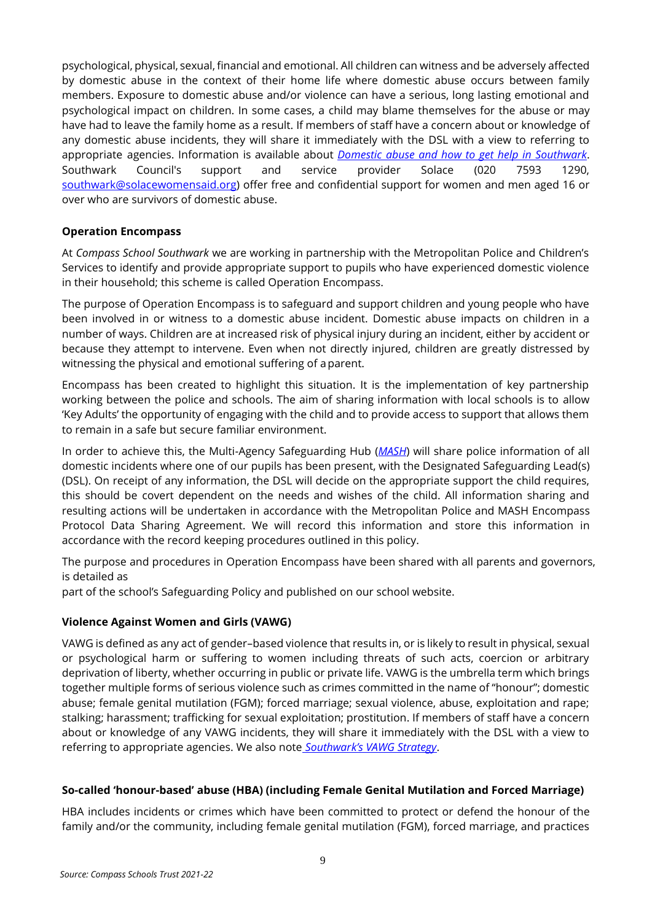psychological, physical, sexual, financial and emotional. All children can witness and be adversely affected by domestic abuse in the context of their home life where domestic abuse occurs between family members. Exposure to domestic abuse and/or violence can have a serious, long lasting emotional and psychological impact on children. In some cases, a child may blame themselves for the abuse or may have had to leave the family home as a result. If members of staff have a concern about or knowledge of any domestic abuse incidents, they will share it immediately with the DSL with a view to referring to appropriate agencies. Information is available about *Domestic abuse and how to get help in [Southwark](https://www.southwark.gov.uk/community-safety/domestic-violence-and-abuse/domestic-violence?chapter=2&displaypref=contrast&article)*. Southwark Council's support and service provider Solace (020 7593 1290, [southwark@solacewomensaid.org\) o](mailto:southwark@solacewomensaid.org)ffer free and confidential support for women and men aged 16 or over who are survivors of domestic abuse.

## **Operation Encompass**

At *Compass School Southwark* we are working in partnership with the Metropolitan Police and Children's Services to identify and provide appropriate support to pupils who have experienced domestic violence in their household; this scheme is called Operation Encompass.

The purpose of Operation Encompass is to safeguard and support children and young people who have been involved in or witness to a domestic abuse incident. Domestic abuse impacts on children in a number of ways. Children are at increased risk of physical injury during an incident, either by accident or because they attempt to intervene. Even when not directly injured, children are greatly distressed by witnessing the physical and emotional suffering of aparent.

Encompass has been created to highlight this situation. It is the implementation of key partnership working between the police and schools. The aim of sharing information with local schools is to allow 'Key Adults' the opportunity of engaging with the child and to provide access to support that allows them to remain in a safe but secure familiar environment.

In order to achieve this, the Multi-Agency Safeguarding Hub (*[MASH](https://www.southwark.gov.uk/childcare-and-parenting/children-s-social-care/child-protection/multi-agency-safeguarding-hub-mash)*) will share police information of all domestic incidents where one of our pupils has been present, with the Designated Safeguarding Lead(s) (DSL). On receipt of any information, the DSL will decide on the appropriate support the child requires, this should be covert dependent on the needs and wishes of the child. All information sharing and resulting actions will be undertaken in accordance with the Metropolitan Police and MASH Encompass Protocol Data Sharing Agreement. We will record this information and store this information in accordance with the record keeping procedures outlined in this policy.

The purpose and procedures in Operation Encompass have been shared with all parents and governors, is detailed as

part of the school's Safeguarding Policy and published on our school website.

## **Violence Against Women and Girls (VAWG)**

VAWG is defined as any act of gender–based violence that results in, or is likely to result in physical, sexual or psychological harm or suffering to women including threats of such acts, coercion or arbitrary deprivation of liberty, whether occurring in public or private life. VAWG is the umbrella term which brings together multiple forms of serious violence such as crimes committed in the name of "honour"; domestic abuse; female genital mutilation (FGM); forced marriage; sexual violence, abuse, exploitation and rape; stalking; harassment; trafficking for sexual exploitation; prostitution. If members of staff have a concern about or knowledge of any VAWG incidents, they will share it immediately with the DSL with a view to referring to appropriate agencies. We also note *[Southwark's VAWG Strategy](https://www.southwark.gov.uk/community-safety/domestic-violence-and-abuse/domestic-violence?chapter=4&displaypref=contrast)*.

## **So-called 'honour-based' abuse (HBA) (including Female Genital Mutilation and Forced Marriage)**

HBA includes incidents or crimes which have been committed to protect or defend the honour of the family and/or the community, including female genital mutilation (FGM), forced marriage, and practices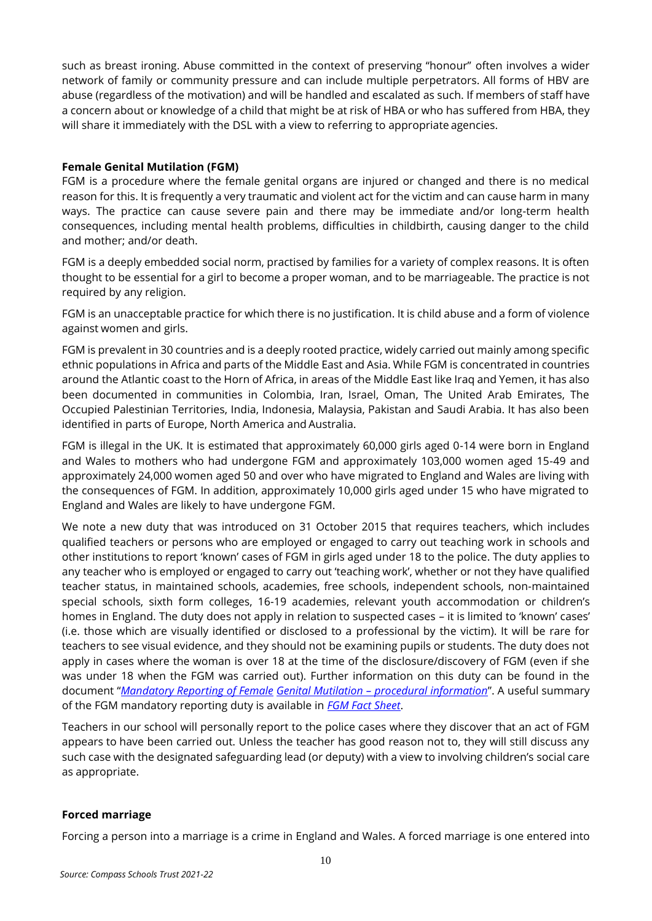such as breast ironing. Abuse committed in the context of preserving "honour" often involves a wider network of family or community pressure and can include multiple perpetrators. All forms of HBV are abuse (regardless of the motivation) and will be handled and escalated as such. If members of staff have a concern about or knowledge of a child that might be at risk of HBA or who has suffered from HBA, they will share it immediately with the DSL with a view to referring to appropriate agencies.

### **Female Genital Mutilation (FGM)**

FGM is a procedure where the female genital organs are injured or changed and there is no medical reason for this. It is frequently a very traumatic and violent act for the victim and can cause harm in many ways. The practice can cause severe pain and there may be immediate and/or long-term health consequences, including mental health problems, difficulties in childbirth, causing danger to the child and mother; and/or death.

FGM is a deeply embedded social norm, practised by families for a variety of complex reasons. It is often thought to be essential for a girl to become a proper woman, and to be marriageable. The practice is not required by any religion.

FGM is an unacceptable practice for which there is no justification. It is child abuse and a form of violence against women and girls.

FGM is prevalent in 30 countries and is a deeply rooted practice, widely carried out mainly among specific ethnic populations in Africa and parts of the Middle East and Asia. While FGM is concentrated in countries around the Atlantic coast to the Horn of Africa, in areas of the Middle East like Iraq and Yemen, it has also been documented in communities in Colombia, Iran, Israel, Oman, The United Arab Emirates, The Occupied Palestinian Territories, India, Indonesia, Malaysia, Pakistan and Saudi Arabia. It has also been identified in parts of Europe, North America and Australia.

FGM is illegal in the UK. It is estimated that approximately 60,000 girls aged 0-14 were born in England and Wales to mothers who had undergone FGM and approximately 103,000 women aged 15-49 and approximately 24,000 women aged 50 and over who have migrated to England and Wales are living with the consequences of FGM. In addition, approximately 10,000 girls aged under 15 who have migrated to England and Wales are likely to have undergone FGM.

We note a new duty that was introduced on 31 October 2015 that requires teachers, which includes qualified teachers or persons who are employed or engaged to carry out teaching work in schools and other institutions to report 'known' cases of FGM in girls aged under 18 to the police. The duty applies to any teacher who is employed or engaged to carry out 'teaching work', whether or not they have qualified teacher status, in maintained schools, academies, free schools, independent schools, non-maintained special schools, sixth form colleges, 16-19 academies, relevant youth accommodation or children's homes in England. The duty does not apply in relation to suspected cases – it is limited to 'known' cases' (i.e. those which are visually identified or disclosed to a professional by the victim). It will be rare for teachers to see visual evidence, and they should not be examining pupils or students. The duty does not apply in cases where the woman is over 18 at the time of the disclosure/discovery of FGM (even if she was under 18 when the FGM was carried out). Further information on this duty can be found in the document "*[Mandatory Reporting of Female](https://www.gov.uk/government/publications/mandatory-reporting-of-female-genital-mutilation-procedural-information) Genital Mutilation – [procedural information](https://www.gov.uk/government/publications/mandatory-reporting-of-female-genital-mutilation-procedural-information)*". A useful summary of the FGM mandatory reporting duty is available in *[FGM Fact](https://assets.publishing.service.gov.uk/government/uploads/system/uploads/attachment_data/file/496415/6_1639_HO_SP_FGM_mandatory_reporting_Fact_sheet_Web.pdf) Sheet*.

Teachers in our school will personally report to the police cases where they discover that an act of FGM appears to have been carried out. Unless the teacher has good reason not to, they will still discuss any such case with the designated safeguarding lead (or deputy) with a view to involving children's social care as appropriate.

## **Forced marriage**

Forcing a person into a marriage is a crime in England and Wales. A forced marriage is one entered into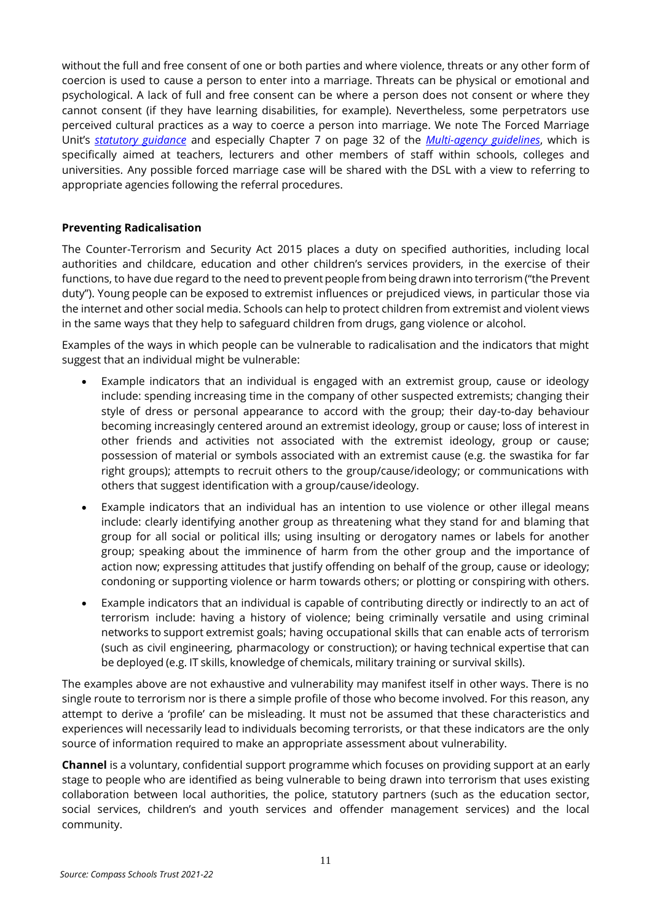without the full and free consent of one or both parties and where violence, threats or any other form of coercion is used to cause a person to enter into a marriage. Threats can be physical or emotional and psychological. A lack of full and free consent can be where a person does not consent or where they cannot consent (if they have learning disabilities, for example). Nevertheless, some perpetrators use perceived cultural practices as a way to coerce a person into marriage. We note The Forced Marriage Unit's *[statutory guidance](https://www.gov.uk/guidance/forced-marriage)* and especially Chapter 7 on page 32 of the *[Multi-agency guidelines](https://assets.publishing.service.gov.uk/government/uploads/system/uploads/attachment_data/file/322307/HMG_MULTI_AGENCY_PRACTICE_GUIDELINES_v1_180614_FINAL.pdf)*, which is specifically aimed at teachers, lecturers and other members of staff within schools, colleges and universities. Any possible forced marriage case will be shared with the DSL with a view to referring to appropriate agencies following the referral procedures.

### **Preventing Radicalisation**

The Counter-Terrorism and Security Act 2015 places a duty on specified authorities, including local authorities and childcare, education and other children's services providers, in the exercise of their functions, to have due regard to the need to prevent people from being drawn into terrorism ("the Prevent duty"). Young people can be exposed to extremist influences or prejudiced views, in particular those via the internet and other social media. Schools can help to protect children from extremist and violent views in the same ways that they help to safeguard children from drugs, gang violence or alcohol.

Examples of the ways in which people can be vulnerable to radicalisation and the indicators that might suggest that an individual might be vulnerable:

- Example indicators that an individual is engaged with an extremist group, cause or ideology include: spending increasing time in the company of other suspected extremists; changing their style of dress or personal appearance to accord with the group; their day-to-day behaviour becoming increasingly centered around an extremist ideology, group or cause; loss of interest in other friends and activities not associated with the extremist ideology, group or cause; possession of material or symbols associated with an extremist cause (e.g. the swastika for far right groups); attempts to recruit others to the group/cause/ideology; or communications with others that suggest identification with a group/cause/ideology.
- Example indicators that an individual has an intention to use violence or other illegal means include: clearly identifying another group as threatening what they stand for and blaming that group for all social or political ills; using insulting or derogatory names or labels for another group; speaking about the imminence of harm from the other group and the importance of action now; expressing attitudes that justify offending on behalf of the group, cause or ideology; condoning or supporting violence or harm towards others; or plotting or conspiring with others.
- Example indicators that an individual is capable of contributing directly or indirectly to an act of terrorism include: having a history of violence; being criminally versatile and using criminal networks to support extremist goals; having occupational skills that can enable acts of terrorism (such as civil engineering, pharmacology or construction); or having technical expertise that can be deployed (e.g. IT skills, knowledge of chemicals, military training or survival skills).

The examples above are not exhaustive and vulnerability may manifest itself in other ways. There is no single route to terrorism nor is there a simple profile of those who become involved. For this reason, any attempt to derive a 'profile' can be misleading. It must not be assumed that these characteristics and experiences will necessarily lead to individuals becoming terrorists, or that these indicators are the only source of information required to make an appropriate assessment about vulnerability.

**Channel** is a voluntary, confidential support programme which focuses on providing support at an early stage to people who are identified as being vulnerable to being drawn into terrorism that uses existing collaboration between local authorities, the police, statutory partners (such as the education sector, social services, children's and youth services and offender management services) and the local community.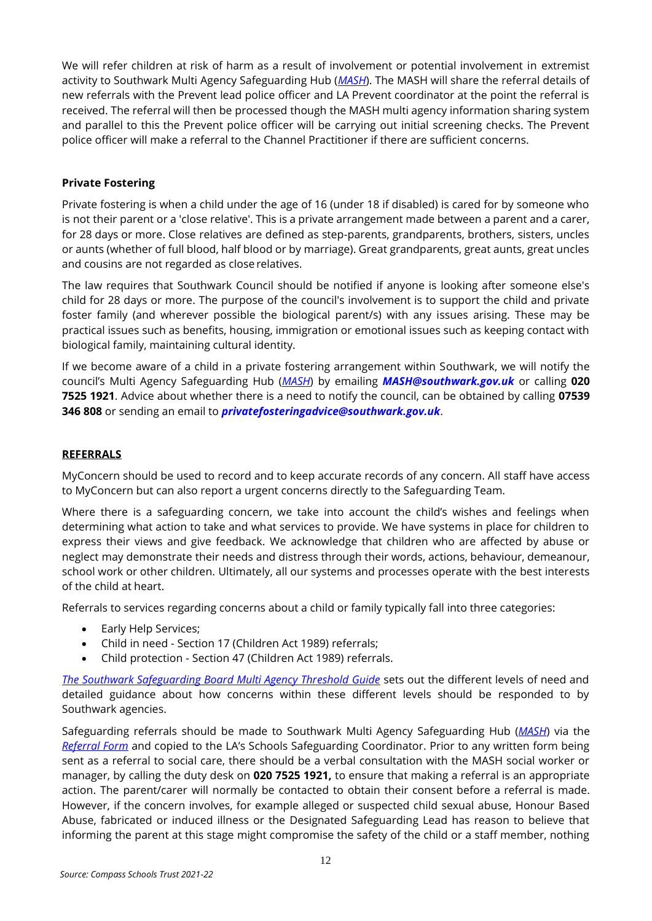We will refer children at risk of harm as a result of involvement or potential involvement in extremist activity to Southwark Multi Agency Safeguarding Hub (*[MASH](https://www.southwark.gov.uk/childcare-and-parenting/children-s-social-care/child-protection/multi-agency-safeguarding-hub-mash)*). The MASH will share the referral details of new referrals with the Prevent lead police officer and LA Prevent coordinator at the point the referral is received. The referral will then be processed though the MASH multi agency information sharing system and parallel to this the Prevent police officer will be carrying out initial screening checks. The Prevent police officer will make a referral to the Channel Practitioner if there are sufficient concerns.

## **Private Fostering**

Private fostering is when a child under the age of 16 (under 18 if disabled) is cared for by someone who is not their parent or a 'close relative'. This is a private arrangement made between a parent and a carer, for 28 days or more. Close relatives are defined as step-parents, grandparents, brothers, sisters, uncles or aunts (whether of full blood, half blood or by marriage). Great grandparents, great aunts, great uncles and cousins are not regarded as close relatives.

The law requires that Southwark Council should be notified if anyone is looking after someone else's child for 28 days or more. The purpose of the council's involvement is to support the child and private foster family (and wherever possible the biological parent/s) with any issues arising. These may be practical issues such as benefits, housing, immigration or emotional issues such as keeping contact with biological family, maintaining cultural identity.

If we become aware of a child in a private fostering arrangement within Southwark, we will notify the council's Multi Agency Safeguarding Hub (*[MASH](https://www.southwark.gov.uk/childcare-and-parenting/children-s-social-care/child-protection/multi-agency-safeguarding-hub-mash)*) by emailing *[MASH@southwark.gov.uk](mailto:MASH@southwark.gov.uk)* or calling **020 7525 1921**. Advice about whether there is a need to notify the council, can be obtained by calling **07539 346 808** or sending an email to *[privatefosteringadvice@southwark.gov.uk](mailto:privatefosteringadvice@southwark.gov.uk)*.

## **REFERRALS**

MyConcern should be used to record and to keep accurate records of any concern. All staff have access to MyConcern but can also report a urgent concerns directly to the Safeguarding Team.

Where there is a safeguarding concern, we take into account the child's wishes and feelings when determining what action to take and what services to provide. We have systems in place for children to express their views and give feedback. We acknowledge that children who are affected by abuse or neglect may demonstrate their needs and distress through their words, actions, behaviour, demeanour, school work or other children. Ultimately, all our systems and processes operate with the best interests of the child at heart.

Referrals to services regarding concerns about a child or family typically fall into three categories:

- Early Help Services;
- Child in need Section 17 (Children Act 1989) referrals;
- Child protection Section 47 (Children Act 1989) referrals.

*[The Southwark Safeguarding Board Multi Agency Threshold Guide](https://schools.southwark.gov.uk/assets/attach/5087/SSCB-Threshold-of-needs-2019-final.pdf)* sets out the different levels of need and detailed guidance about how concerns within these different levels should be responded to by Southwark agencies.

Safeguarding referrals should be made to Southwark Multi Agency Safeguarding Hub (*[MASH](https://www.southwark.gov.uk/childcare-and-parenting/children-s-social-care/child-protection/multi-agency-safeguarding-hub-mash)*) via th[e](https://www.safeguarding.southwark.gov.uk/assets/files/524/updated-multi-agency-referral-form-updated-5.12.19.docx) *[Referral](https://www.safeguarding.southwark.gov.uk/assets/files/524/updated-multi-agency-referral-form-updated-5.12.19.docx) Form* and copied to the LA's Schools Safeguarding Coordinator. Prior to any written form being sent as a referral to social care, there should be a verbal consultation with the MASH social worker or manager, by calling the duty desk on **020 7525 1921,** to ensure that making a referral is an appropriate action. The parent/carer will normally be contacted to obtain their consent before a referral is made. However, if the concern involves, for example alleged or suspected child sexual abuse, Honour Based Abuse, fabricated or induced illness or the Designated Safeguarding Lead has reason to believe that informing the parent at this stage might compromise the safety of the child or a staff member, nothing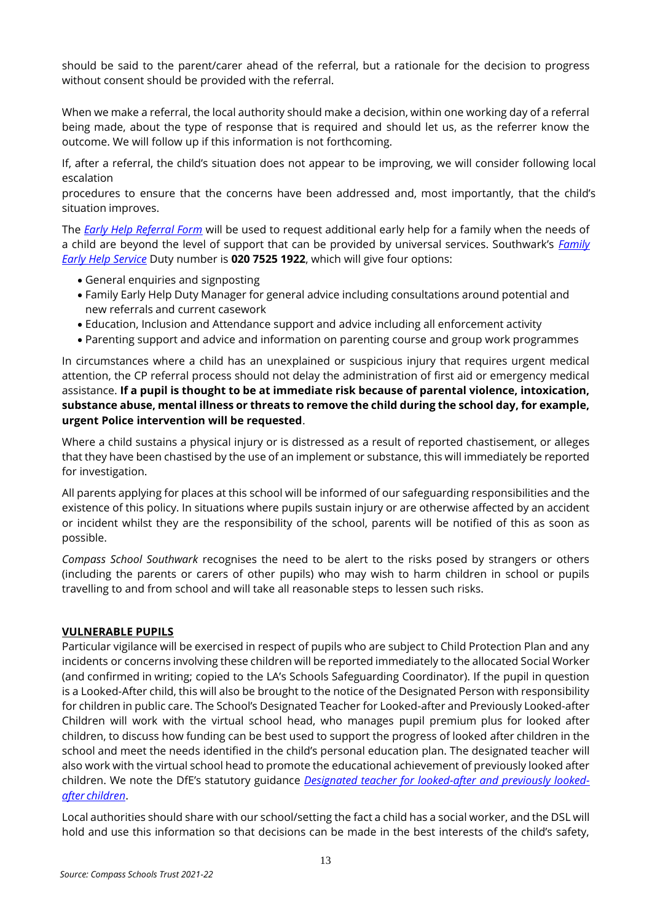should be said to the parent/carer ahead of the referral, but a rationale for the decision to progress without consent should be provided with the referral.

When we make a referral, the local authority should make a decision, within one working day of a referral being made, about the type of response that is required and should let us, as the referrer know the outcome. We will follow up if this information is not forthcoming.

If, after a referral, the child's situation does not appear to be improving, we will consider following local escalation

procedures to ensure that the concerns have been addressed and, most importantly, that the child's situation improves.

The *[Early Help Referral Form](https://www.southwark.gov.uk/assets/attach/4659/New-Early-Help-Referral-Form-2-1-.docx)* will be used to request additional early help for a family when the needs of a child are beyond the level of support that can be provided by universal services. Southwark's *[Family](https://www.southwark.gov.uk/childcare-and-parenting/children-s-social-care/family-early-help-feh/family-early-help-feh-strategy)  [Early Help Service](https://www.southwark.gov.uk/childcare-and-parenting/children-s-social-care/family-early-help-feh/family-early-help-feh-strategy)* Duty number is **020 7525 1922**, which will give four options:

- General enquiries and signposting
- Family Early Help Duty Manager for general advice including consultations around potential and new referrals and current casework
- Education, Inclusion and Attendance support and advice including all enforcement activity
- Parenting support and advice and information on parenting course and group work programmes

In circumstances where a child has an unexplained or suspicious injury that requires urgent medical attention, the CP referral process should not delay the administration of first aid or emergency medical assistance. **If a pupil is thought to be at immediate risk because of parental violence, intoxication, substance abuse, mental illness or threats to remove the child during the school day, for example, urgent Police intervention will be requested**.

Where a child sustains a physical injury or is distressed as a result of reported chastisement, or alleges that they have been chastised by the use of an implement or substance, this will immediately be reported for investigation.

All parents applying for places at this school will be informed of our safeguarding responsibilities and the existence of this policy. In situations where pupils sustain injury or are otherwise affected by an accident or incident whilst they are the responsibility of the school, parents will be notified of this as soon as possible.

*Compass School Southwark* recognises the need to be alert to the risks posed by strangers or others (including the parents or carers of other pupils) who may wish to harm children in school or pupils travelling to and from school and will take all reasonable steps to lessen such risks.

#### **VULNERABLE PUPILS**

Particular vigilance will be exercised in respect of pupils who are subject to Child Protection Plan and any incidents or concerns involving these children will be reported immediately to the allocated Social Worker (and confirmed in writing; copied to the LA's Schools Safeguarding Coordinator). If the pupil in question is a Looked-After child, this will also be brought to the notice of the Designated Person with responsibility for children in public care. The School's Designated Teacher for Looked-after and Previously Looked-after Children will work with the virtual school head, who manages pupil premium plus for looked after children, to discuss how funding can be best used to support the progress of looked after children in the school and meet the needs identified in the child's personal education plan. The designated teacher will also work with the virtual school head to promote the educational achievement of previously looked after children. We note the DfE's statutory guidance *[Designated teacher for looked-after and previously looked](https://www.gov.uk/government/publications/designated-teacher-for-looked-after-children)after [children](https://www.gov.uk/government/publications/designated-teacher-for-looked-after-children)*.

Local authorities should share with our school/setting the fact a child has a social worker, and the DSL will hold and use this information so that decisions can be made in the best interests of the child's safety,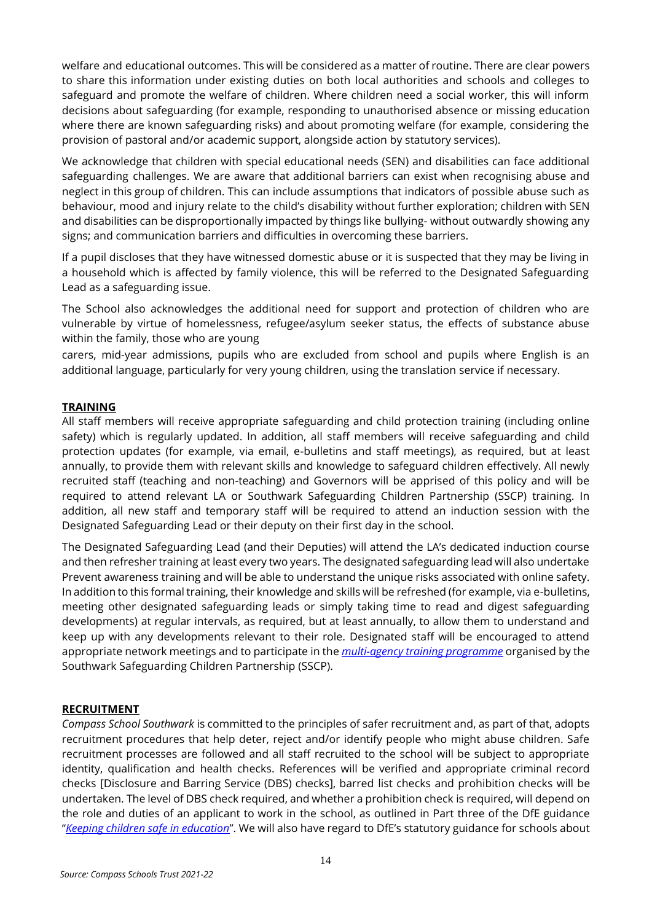welfare and educational outcomes. This will be considered as a matter of routine. There are clear powers to share this information under existing duties on both local authorities and schools and colleges to safeguard and promote the welfare of children. Where children need a social worker, this will inform decisions about safeguarding (for example, responding to unauthorised absence or missing education where there are known safeguarding risks) and about promoting welfare (for example, considering the provision of pastoral and/or academic support, alongside action by statutory services).

We acknowledge that children with special educational needs (SEN) and disabilities can face additional safeguarding challenges. We are aware that additional barriers can exist when recognising abuse and neglect in this group of children. This can include assumptions that indicators of possible abuse such as behaviour, mood and injury relate to the child's disability without further exploration; children with SEN and disabilities can be disproportionally impacted by things like bullying- without outwardly showing any signs; and communication barriers and difficulties in overcoming these barriers.

If a pupil discloses that they have witnessed domestic abuse or it is suspected that they may be living in a household which is affected by family violence, this will be referred to the Designated Safeguarding Lead as a safeguarding issue.

The School also acknowledges the additional need for support and protection of children who are vulnerable by virtue of homelessness, refugee/asylum seeker status, the effects of substance abuse within the family, those who are young

carers, mid-year admissions, pupils who are excluded from school and pupils where English is an additional language, particularly for very young children, using the translation service if necessary.

#### **TRAINING**

All staff members will receive appropriate safeguarding and child protection training (including online safety) which is regularly updated. In addition, all staff members will receive safeguarding and child protection updates (for example, via email, e-bulletins and staff meetings), as required, but at least annually, to provide them with relevant skills and knowledge to safeguard children effectively. All newly recruited staff (teaching and non-teaching) and Governors will be apprised of this policy and will be required to attend relevant LA or Southwark Safeguarding Children Partnership (SSCP) training. In addition, all new staff and temporary staff will be required to attend an induction session with the Designated Safeguarding Lead or their deputy on their first day in the school.

The Designated Safeguarding Lead (and their Deputies) will attend the LA's dedicated induction course and then refresher training at least every two years. The designated safeguarding lead will also undertake Prevent awareness training and will be able to understand the unique risks associated with online safety. In addition to this formal training, their knowledge and skills will be refreshed (for example, via e-bulletins, meeting other designated safeguarding leads or simply taking time to read and digest safeguarding developments) at regular intervals, as required, but at least annually, to allow them to understand and keep up with any developments relevant to their role. Designated staff will be encouraged to attend appropriate network meetings and to participate in the *[multi-agency training programme](http://www.mylearningsource.co.uk/category/safeguarding)* organised by the Southwark Safeguarding Children Partnership (SSCP).

#### **RECRUITMENT**

*Compass School Southwark* is committed to the principles of safer recruitment and, as part of that, adopts recruitment procedures that help deter, reject and/or identify people who might abuse children. Safe recruitment processes are followed and all staff recruited to the school will be subject to appropriate identity, qualification and health checks. References will be verified and appropriate criminal record checks [Disclosure and Barring Service (DBS) checks], barred list checks and prohibition checks will be undertaken. The level of DBS check required, and whether a prohibition check is required, will depend on the role and duties of an applicant to work in the school, as outlined in Part three of the DfE guidance "*[Keeping children safe in education](https://www.gov.uk/government/publications/keeping-children-safe-in-education--2)*". We will also have regard to DfE's statutory guidance for schools about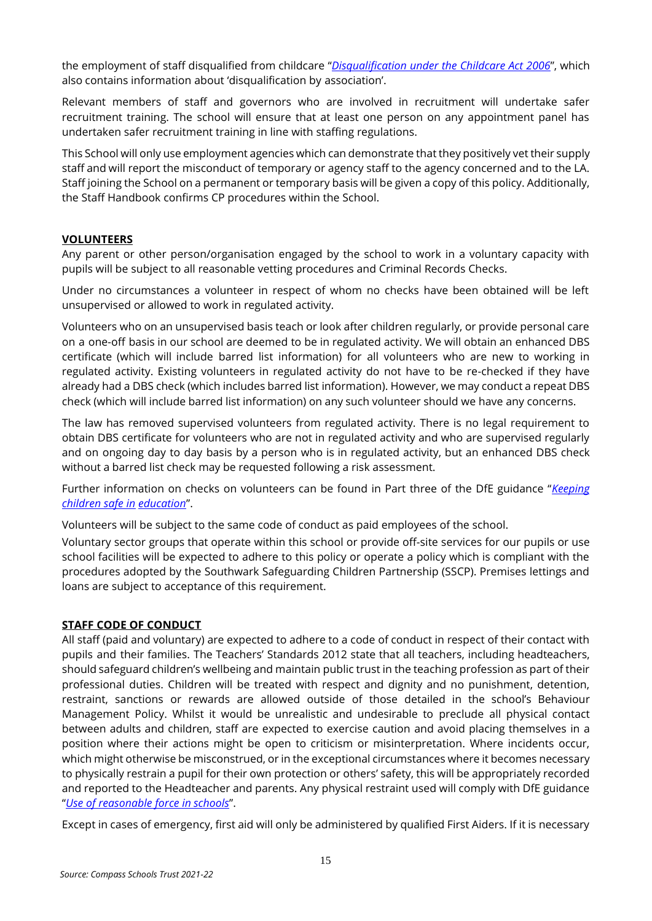the employment of staff disqualified from childcare "*[Disqualification](https://www.gov.uk/government/publications/disqualification-under-the-childcare-act-2006) under the Childcare Act 2006*", which also contains information about 'disqualification by association'.

Relevant members of staff and governors who are involved in recruitment will undertake safer recruitment training. The school will ensure that at least one person on any appointment panel has undertaken safer recruitment training in line with staffing regulations.

This School will only use employment agencies which can demonstrate that they positively vet their supply staff and will report the misconduct of temporary or agency staff to the agency concerned and to the LA. Staff joining the School on a permanent or temporary basis will be given a copy of this policy. Additionally, the Staff Handbook confirms CP procedures within the School.

## **VOLUNTEERS**

Any parent or other person/organisation engaged by the school to work in a voluntary capacity with pupils will be subject to all reasonable vetting procedures and Criminal Records Checks.

Under no circumstances a volunteer in respect of whom no checks have been obtained will be left unsupervised or allowed to work in regulated activity.

Volunteers who on an unsupervised basis teach or look after children regularly, or provide personal care on a one-off basis in our school are deemed to be in regulated activity. We will obtain an enhanced DBS certificate (which will include barred list information) for all volunteers who are new to working in regulated activity. Existing volunteers in regulated activity do not have to be re-checked if they have already had a DBS check (which includes barred list information). However, we may conduct a repeat DBS check (which will include barred list information) on any such volunteer should we have any concerns.

The law has removed supervised volunteers from regulated activity. There is no legal requirement to obtain DBS certificate for volunteers who are not in regulated activity and who are supervised regularly and on ongoing day to day basis by a person who is in regulated activity, but an enhanced DBS check without a barred list check may be requested following a risk assessment.

Further information on checks on volunteers can be found in Part three of the DfE guidance "*[Keeping](https://www.gov.uk/government/publications/keeping-children-safe-in-education--2)  [children safe in](https://www.gov.uk/government/publications/keeping-children-safe-in-education--2) [education](https://www.gov.uk/government/publications/keeping-children-safe-in-education--2)*".

Volunteers will be subject to the same code of conduct as paid employees of the school.

Voluntary sector groups that operate within this school or provide off-site services for our pupils or use school facilities will be expected to adhere to this policy or operate a policy which is compliant with the procedures adopted by the Southwark Safeguarding Children Partnership (SSCP). Premises lettings and loans are subject to acceptance of this requirement.

## **STAFF CODE OF CONDUCT**

All staff (paid and voluntary) are expected to adhere to a code of conduct in respect of their contact with pupils and their families. The Teachers' Standards 2012 state that all teachers, including headteachers, should safeguard children's wellbeing and maintain public trust in the teaching profession as part of their professional duties. Children will be treated with respect and dignity and no punishment, detention, restraint, sanctions or rewards are allowed outside of those detailed in the school's Behaviour Management Policy. Whilst it would be unrealistic and undesirable to preclude all physical contact between adults and children, staff are expected to exercise caution and avoid placing themselves in a position where their actions might be open to criticism or misinterpretation. Where incidents occur, which might otherwise be misconstrued, or in the exceptional circumstances where it becomes necessary to physically restrain a pupil for their own protection or others' safety, this will be appropriately recorded and reported to the Headteacher and parents. Any physical restraint used will comply with DfE guidance "*[Use of reasonable force in](https://www.gov.uk/government/publications/use-of-reasonable-force-in-schools) schools*".

Except in cases of emergency, first aid will only be administered by qualified First Aiders. If it is necessary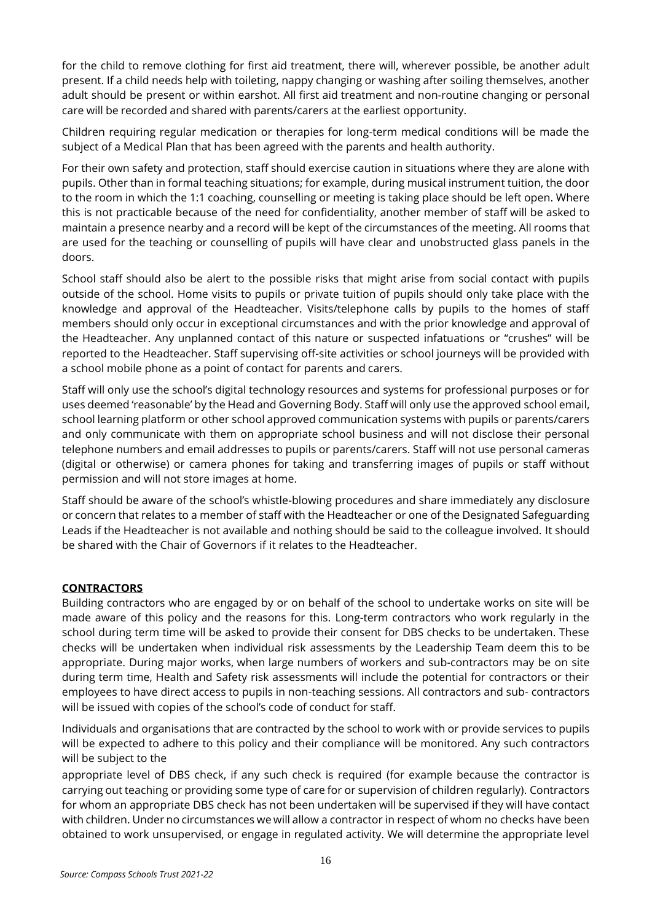for the child to remove clothing for first aid treatment, there will, wherever possible, be another adult present. If a child needs help with toileting, nappy changing or washing after soiling themselves, another adult should be present or within earshot. All first aid treatment and non-routine changing or personal care will be recorded and shared with parents/carers at the earliest opportunity.

Children requiring regular medication or therapies for long-term medical conditions will be made the subject of a Medical Plan that has been agreed with the parents and health authority.

For their own safety and protection, staff should exercise caution in situations where they are alone with pupils. Other than in formal teaching situations; for example, during musical instrument tuition, the door to the room in which the 1:1 coaching, counselling or meeting is taking place should be left open. Where this is not practicable because of the need for confidentiality, another member of staff will be asked to maintain a presence nearby and a record will be kept of the circumstances of the meeting. All rooms that are used for the teaching or counselling of pupils will have clear and unobstructed glass panels in the doors.

School staff should also be alert to the possible risks that might arise from social contact with pupils outside of the school. Home visits to pupils or private tuition of pupils should only take place with the knowledge and approval of the Headteacher. Visits/telephone calls by pupils to the homes of staff members should only occur in exceptional circumstances and with the prior knowledge and approval of the Headteacher. Any unplanned contact of this nature or suspected infatuations or "crushes" will be reported to the Headteacher. Staff supervising off-site activities or school journeys will be provided with a school mobile phone as a point of contact for parents and carers.

Staff will only use the school's digital technology resources and systems for professional purposes or for uses deemed 'reasonable' by the Head and Governing Body. Staff will only use the approved school email, school learning platform or other school approved communication systems with pupils or parents/carers and only communicate with them on appropriate school business and will not disclose their personal telephone numbers and email addresses to pupils or parents/carers. Staff will not use personal cameras (digital or otherwise) or camera phones for taking and transferring images of pupils or staff without permission and will not store images at home.

Staff should be aware of the school's whistle-blowing procedures and share immediately any disclosure or concern that relates to a member of staff with the Headteacher or one of the Designated Safeguarding Leads if the Headteacher is not available and nothing should be said to the colleague involved. It should be shared with the Chair of Governors if it relates to the Headteacher.

## **CONTRACTORS**

Building contractors who are engaged by or on behalf of the school to undertake works on site will be made aware of this policy and the reasons for this. Long-term contractors who work regularly in the school during term time will be asked to provide their consent for DBS checks to be undertaken. These checks will be undertaken when individual risk assessments by the Leadership Team deem this to be appropriate. During major works, when large numbers of workers and sub-contractors may be on site during term time, Health and Safety risk assessments will include the potential for contractors or their employees to have direct access to pupils in non-teaching sessions. All contractors and sub- contractors will be issued with copies of the school's code of conduct for staff.

Individuals and organisations that are contracted by the school to work with or provide services to pupils will be expected to adhere to this policy and their compliance will be monitored. Any such contractors will be subject to the

appropriate level of DBS check, if any such check is required (for example because the contractor is carrying out teaching or providing some type of care for or supervision of children regularly). Contractors for whom an appropriate DBS check has not been undertaken will be supervised if they will have contact with children. Under no circumstances we will allow a contractor in respect of whom no checks have been obtained to work unsupervised, or engage in regulated activity. We will determine the appropriate level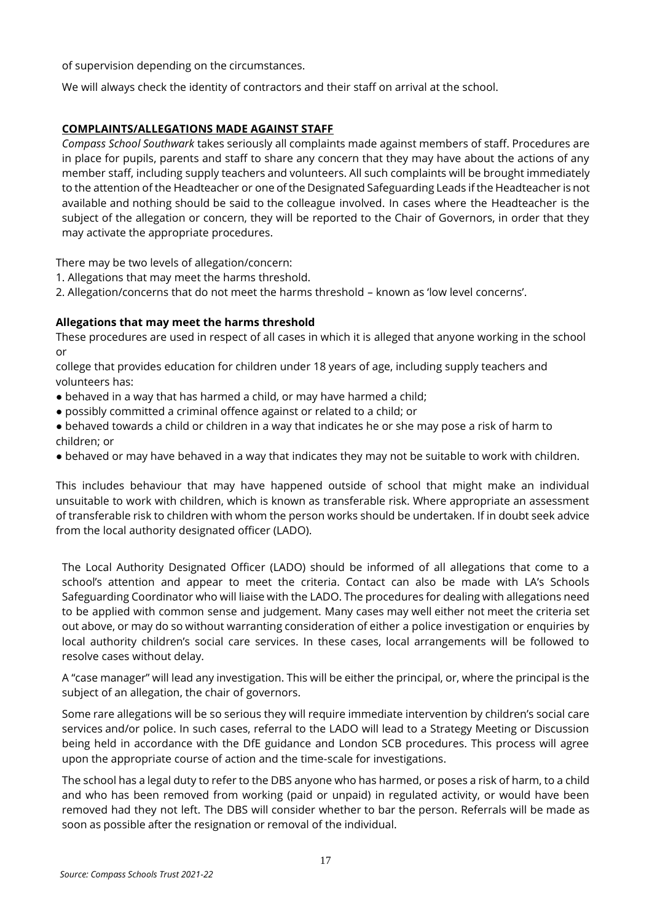of supervision depending on the circumstances.

We will always check the identity of contractors and their staff on arrival at the school.

## **COMPLAINTS/ALLEGATIONS MADE AGAINST STAFF**

*Compass School Southwark* takes seriously all complaints made against members of staff. Procedures are in place for pupils, parents and staff to share any concern that they may have about the actions of any member staff, including supply teachers and volunteers. All such complaints will be brought immediately to the attention of the Headteacher or one of the Designated Safeguarding Leads if the Headteacher is not available and nothing should be said to the colleague involved. In cases where the Headteacher is the subject of the allegation or concern, they will be reported to the Chair of Governors, in order that they may activate the appropriate procedures.

There may be two levels of allegation/concern:

- 1. Allegations that may meet the harms threshold.
- 2. Allegation/concerns that do not meet the harms threshold known as 'low level concerns'.

## **Allegations that may meet the harms threshold**

These procedures are used in respect of all cases in which it is alleged that anyone working in the school or

college that provides education for children under 18 years of age, including supply teachers and volunteers has:

- behaved in a way that has harmed a child, or may have harmed a child;
- possibly committed a criminal offence against or related to a child; or
- behaved towards a child or children in a way that indicates he or she may pose a risk of harm to children; or
- behaved or may have behaved in a way that indicates they may not be suitable to work with children.

This includes behaviour that may have happened outside of school that might make an individual unsuitable to work with children, which is known as transferable risk. Where appropriate an assessment of transferable risk to children with whom the person works should be undertaken. If in doubt seek advice from the local authority designated officer (LADO).

The Local Authority Designated Officer (LADO) should be informed of all allegations that come to a school's attention and appear to meet the criteria. Contact can also be made with LA's Schools Safeguarding Coordinator who will liaise with the LADO. The procedures for dealing with allegations need to be applied with common sense and judgement. Many cases may well either not meet the criteria set out above, or may do so without warranting consideration of either a police investigation or enquiries by local authority children's social care services. In these cases, local arrangements will be followed to resolve cases without delay.

A "case manager" will lead any investigation. This will be either the principal, or, where the principal is the subject of an allegation, the chair of governors.

Some rare allegations will be so serious they will require immediate intervention by children's social care services and/or police. In such cases, referral to the LADO will lead to a Strategy Meeting or Discussion being held in accordance with the DfE guidance and London SCB procedures. This process will agree upon the appropriate course of action and the time-scale for investigations.

The school has a legal duty to refer to the DBS anyone who has harmed, or poses a risk of harm, to a child and who has been removed from working (paid or unpaid) in regulated activity, or would have been removed had they not left. The DBS will consider whether to bar the person. Referrals will be made as soon as possible after the resignation or removal of the individual.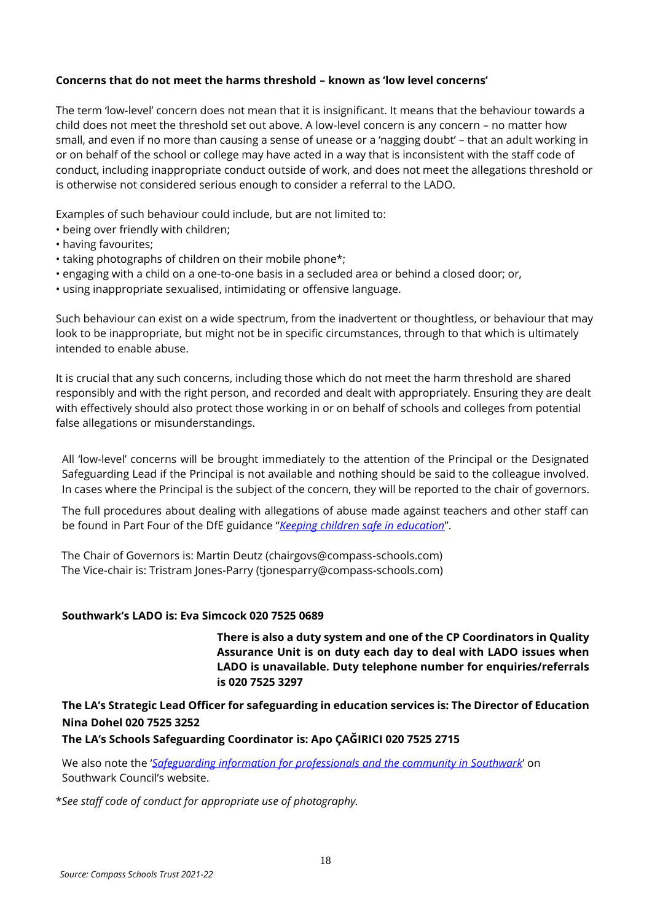## **Concerns that do not meet the harms threshold – known as 'low level concerns'**

The term 'low-level' concern does not mean that it is insignificant. It means that the behaviour towards a child does not meet the threshold set out above. A low-level concern is any concern – no matter how small, and even if no more than causing a sense of unease or a 'nagging doubt' – that an adult working in or on behalf of the school or college may have acted in a way that is inconsistent with the staff code of conduct, including inappropriate conduct outside of work, and does not meet the allegations threshold or is otherwise not considered serious enough to consider a referral to the LADO.

Examples of such behaviour could include, but are not limited to:

- being over friendly with children;
- having favourites;
- taking photographs of children on their mobile phone\*;
- engaging with a child on a one-to-one basis in a secluded area or behind a closed door; or,
- using inappropriate sexualised, intimidating or offensive language.

Such behaviour can exist on a wide spectrum, from the inadvertent or thoughtless, or behaviour that may look to be inappropriate, but might not be in specific circumstances, through to that which is ultimately intended to enable abuse.

It is crucial that any such concerns, including those which do not meet the harm threshold are shared responsibly and with the right person, and recorded and dealt with appropriately. Ensuring they are dealt with effectively should also protect those working in or on behalf of schools and colleges from potential false allegations or misunderstandings.

All 'low-level' concerns will be brought immediately to the attention of the Principal or the Designated Safeguarding Lead if the Principal is not available and nothing should be said to the colleague involved. In cases where the Principal is the subject of the concern, they will be reported to the chair of governors.

The full procedures about dealing with allegations of abuse made against teachers and other staff can be found in Part Four of the DfE guidance "*[Keeping children safe in education](https://www.gov.uk/government/publications/keeping-children-safe-in-education--2)*".

 The Chair of Governors is: Martin Deutz (chairgovs@compass-schools.com) The Vice-chair is: Tristram Jones-Parry (tjonesparry@compass-schools.com)

## **Southwark's LADO is: Eva Simcock 020 7525 0689**

**There is also a duty system and one of the CP Coordinators in Quality Assurance Unit is on duty each day to deal with LADO issues when LADO is unavailable. Duty telephone number for enquiries/referrals is 020 7525 3297**

## **The LA's Strategic Lead Officer for safeguarding in education services is: The Director of Education Nina Dohel 020 7525 3252**

## **The LA's Schools Safeguarding Coordinator is: Apo ÇAĞIRICI 020 7525 2715**

We also note the '*[Safeguarding information for professionals and the community in Southwark](http://safeguarding.southwark.gov.uk/)*' on Southwark Council's website.

\**See staff code of conduct for appropriate use of photography.*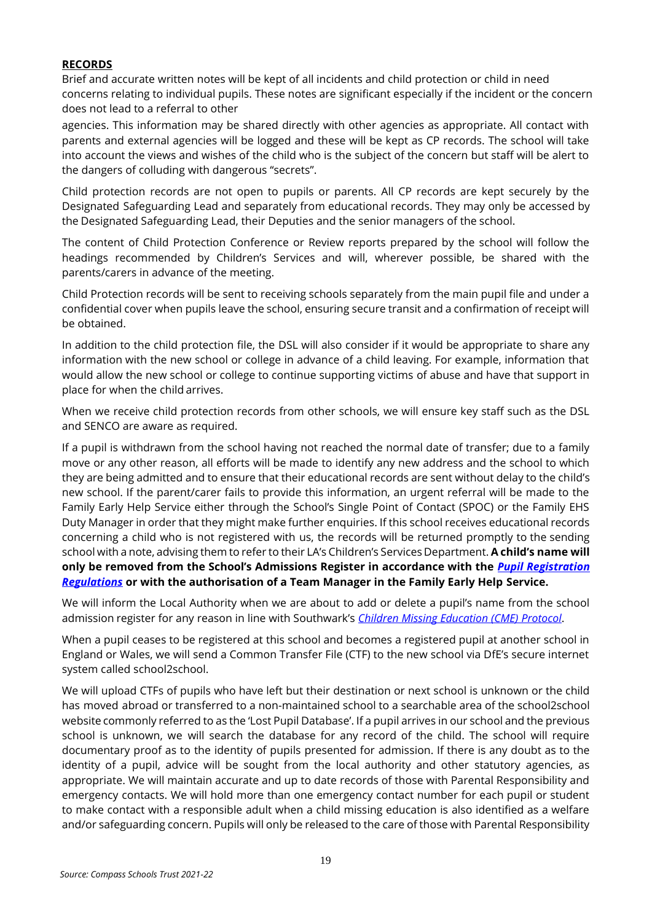### **RECORDS**

Brief and accurate written notes will be kept of all incidents and child protection or child in need concerns relating to individual pupils. These notes are significant especially if the incident or the concern does not lead to a referral to other

agencies. This information may be shared directly with other agencies as appropriate. All contact with parents and external agencies will be logged and these will be kept as CP records. The school will take into account the views and wishes of the child who is the subject of the concern but staff will be alert to the dangers of colluding with dangerous "secrets".

Child protection records are not open to pupils or parents. All CP records are kept securely by the Designated Safeguarding Lead and separately from educational records. They may only be accessed by the Designated Safeguarding Lead, their Deputies and the senior managers of the school.

The content of Child Protection Conference or Review reports prepared by the school will follow the headings recommended by Children's Services and will, wherever possible, be shared with the parents/carers in advance of the meeting.

Child Protection records will be sent to receiving schools separately from the main pupil file and under a confidential cover when pupils leave the school, ensuring secure transit and a confirmation of receipt will be obtained.

In addition to the child protection file, the DSL will also consider if it would be appropriate to share any information with the new school or college in advance of a child leaving. For example, information that would allow the new school or college to continue supporting victims of abuse and have that support in place for when the child arrives.

When we receive child protection records from other schools, we will ensure key staff such as the DSL and SENCO are aware as required.

If a pupil is withdrawn from the school having not reached the normal date of transfer; due to a family move or any other reason, all efforts will be made to identify any new address and the school to which they are being admitted and to ensure that their educational records are sent without delay to the child's new school. If the parent/carer fails to provide this information, an urgent referral will be made to the Family Early Help Service either through the School's Single Point of Contact (SPOC) or the Family EHS Duty Manager in order that they might make further enquiries. If this school receives educational records concerning a child who is not registered with us, the records will be returned promptly to the sending school with a note, advising them to refer to their LA's Children's Services Department. **A child's name will only be removed from the School's Admissions Register in accordance with the** *[Pupil Registration](https://www.gov.uk/government/publications/school-attendance) [Regulations](https://www.gov.uk/government/publications/school-attendance)* **or with the authorisation of a Team Manager in the Family Early Help Service.**

We will inform the Local Authority when we are about to add or delete a pupil's name from the school admission register for any reason in line with Southwark's *[Children Missing Education \(CME\)](https://safeguarding.southwark.gov.uk/assets/files/434/CME-protocol-Feb-17.pdf) Protocol*.

When a pupil ceases to be registered at this school and becomes a registered pupil at another school in England or Wales, we will send a Common Transfer File (CTF) to the new school via DfE's secure internet system called school2school.

We will upload CTFs of pupils who have left but their destination or next school is unknown or the child has moved abroad or transferred to a non-maintained school to a searchable area of the school2school website commonly referred to as the 'Lost Pupil Database'. If a pupil arrives in our school and the previous school is unknown, we will search the database for any record of the child. The school will require documentary proof as to the identity of pupils presented for admission. If there is any doubt as to the identity of a pupil, advice will be sought from the local authority and other statutory agencies, as appropriate. We will maintain accurate and up to date records of those with Parental Responsibility and emergency contacts. We will hold more than one emergency contact number for each pupil or student to make contact with a responsible adult when a child missing education is also identified as a welfare and/or safeguarding concern. Pupils will only be released to the care of those with Parental Responsibility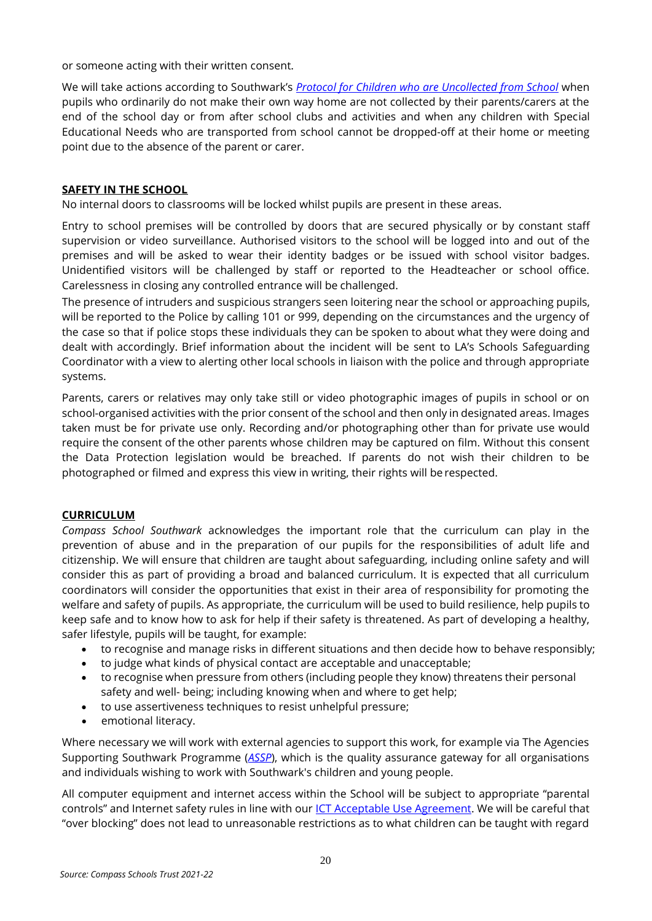or someone acting with their written consent.

We will take actions according to Southwark's *[Protocol for Children who are Uncollected from School](https://southwark.proceduresonline.com/chapters/pr_child_not_collect_school.htm#child_education)* when pupils who ordinarily do not make their own way home are not collected by their parents/carers at the end of the school day or from after school clubs and activities and when any children with Special Educational Needs who are transported from school cannot be dropped-off at their home or meeting point due to the absence of the parent or carer.

#### **SAFETY IN THE SCHOOL**

No internal doors to classrooms will be locked whilst pupils are present in these areas.

Entry to school premises will be controlled by doors that are secured physically or by constant staff supervision or video surveillance. Authorised visitors to the school will be logged into and out of the premises and will be asked to wear their identity badges or be issued with school visitor badges. Unidentified visitors will be challenged by staff or reported to the Headteacher or school office. Carelessness in closing any controlled entrance will be challenged.

The presence of intruders and suspicious strangers seen loitering near the school or approaching pupils, will be reported to the Police by calling 101 or 999, depending on the circumstances and the urgency of the case so that if police stops these individuals they can be spoken to about what they were doing and dealt with accordingly. Brief information about the incident will be sent to LA's Schools Safeguarding Coordinator with a view to alerting other local schools in liaison with the police and through appropriate systems.

Parents, carers or relatives may only take still or video photographic images of pupils in school or on school-organised activities with the prior consent of the school and then only in designated areas. Images taken must be for private use only. Recording and/or photographing other than for private use would require the consent of the other parents whose children may be captured on film. Without this consent the Data Protection legislation would be breached. If parents do not wish their children to be photographed or filmed and express this view in writing, their rights will be respected.

#### **CURRICULUM**

*Compass School Southwark* acknowledges the important role that the curriculum can play in the prevention of abuse and in the preparation of our pupils for the responsibilities of adult life and citizenship. We will ensure that children are taught about safeguarding, including online safety and will consider this as part of providing a broad and balanced curriculum. It is expected that all curriculum coordinators will consider the opportunities that exist in their area of responsibility for promoting the welfare and safety of pupils. As appropriate, the curriculum will be used to build resilience, help pupils to keep safe and to know how to ask for help if their safety is threatened. As part of developing a healthy, safer lifestyle, pupils will be taught, for example:

- to recognise and manage risks in different situations and then decide how to behave responsibly;
- to judge what kinds of physical contact are acceptable and unacceptable;
- to recognise when pressure from others (including people they know) threatens their personal safety and well- being; including knowing when and where to get help;
- to use assertiveness techniques to resist unhelpful pressure;
- emotional literacy.

Where necessary we will work with external agencies to support this work, for example via The Agencies Supporting Southwark Programme (*[ASSP](https://www.southwark.gov.uk/childcare-and-parenting/children-s-social-care/child-protection/agencies-supporting-southwark-programme-assp)*), which is the quality assurance gateway for all organisations and individuals wishing to work with Southwark's children and young people.

All computer equipment and internet access within the School will be subject to appropriate "parental controls" and Internet safety rules in line with our *ICT Acceptable Use Agreement*. We will be careful that "over blocking" does not lead to unreasonable restrictions as to what children can be taught with regard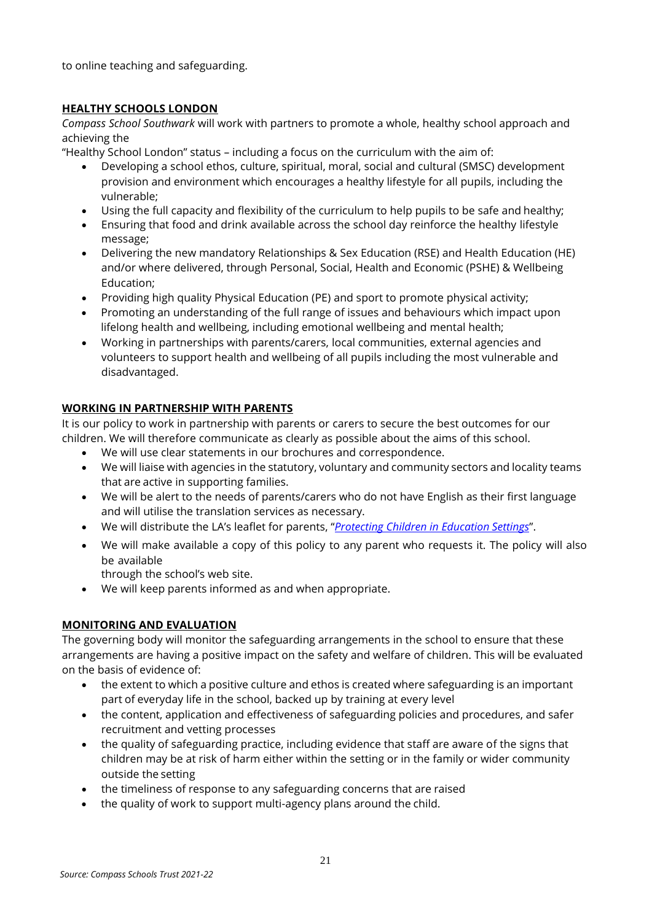to online teaching and safeguarding.

## **HEALTHY SCHOOLS LONDON**

*Compass School Southwark* will work with partners to promote a whole, healthy school approach and achieving the

"Healthy School London" status – including a focus on the curriculum with the aim of:

- Developing a school ethos, culture, spiritual, moral, social and cultural (SMSC) development provision and environment which encourages a healthy lifestyle for all pupils, including the vulnerable;
- Using the full capacity and flexibility of the curriculum to help pupils to be safe and healthy;
- Ensuring that food and drink available across the school day reinforce the healthy lifestyle message;
- Delivering the new mandatory Relationships & Sex Education (RSE) and Health Education (HE) and/or where delivered, through Personal, Social, Health and Economic (PSHE) & Wellbeing Education;
- Providing high quality Physical Education (PE) and sport to promote physical activity;
- Promoting an understanding of the full range of issues and behaviours which impact upon lifelong health and wellbeing, including emotional wellbeing and mental health;
- Working in partnerships with parents/carers, local communities, external agencies and volunteers to support health and wellbeing of all pupils including the most vulnerable and disadvantaged.

## **WORKING IN PARTNERSHIP WITH PARENTS**

It is our policy to work in partnership with parents or carers to secure the best outcomes for our children. We will therefore communicate as clearly as possible about the aims of this school.

- We will use clear statements in our brochures and correspondence.
- We will liaise with agencies in the statutory, voluntary and community sectors and locality teams that are active in supporting families.
- We will be alert to the needs of parents/carers who do not have English as their first language and will utilise the translation services as necessary.
- We will distribute the LA's leaflet for parents, "*[Protecting Children in Education](https://schools.southwark.gov.uk/assets/attach/4636/Protecting-children-in-education-settings-2018.pdf) Settings*".
- We will make available a copy of this policy to any parent who requests it. The policy will also be available

through the school's web site.

• We will keep parents informed as and when appropriate.

## **MONITORING AND EVALUATION**

The governing body will monitor the safeguarding arrangements in the school to ensure that these arrangements are having a positive impact on the safety and welfare of children. This will be evaluated on the basis of evidence of:

- the extent to which a positive culture and ethos is created where safeguarding is an important part of everyday life in the school, backed up by training at every level
- the content, application and effectiveness of safeguarding policies and procedures, and safer recruitment and vetting processes
- the quality of safeguarding practice, including evidence that staff are aware of the signs that children may be at risk of harm either within the setting or in the family or wider community outside the setting
- the timeliness of response to any safeguarding concerns that are raised
- the quality of work to support multi-agency plans around the child.